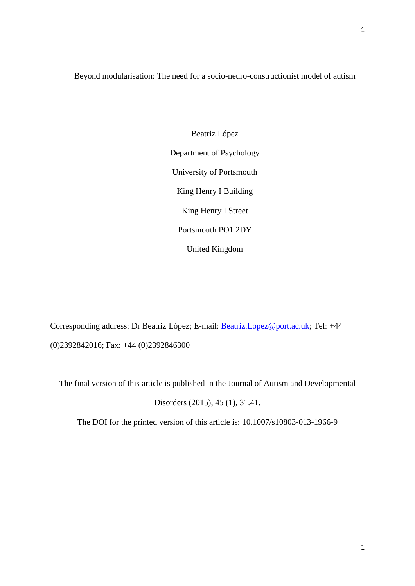Beyond modularisation: The need for a socio-neuro-constructionist model of autism

Beatriz López Department of Psychology University of Portsmouth King Henry I Building King Henry I Street Portsmouth PO1 2DY United Kingdom

Corresponding address: Dr Beatriz López; E-mail: [Beatriz.Lopez@port.ac.uk;](mailto:Beatriz.Lopez@port.ac.uk) Tel: +44 (0)2392842016; Fax: +44 (0)2392846300

The final version of this article is published in the Journal of Autism and Developmental

Disorders (2015), 45 (1), 31.41.

The DOI for the printed version of this article is: 10.1007/s10803-013-1966-9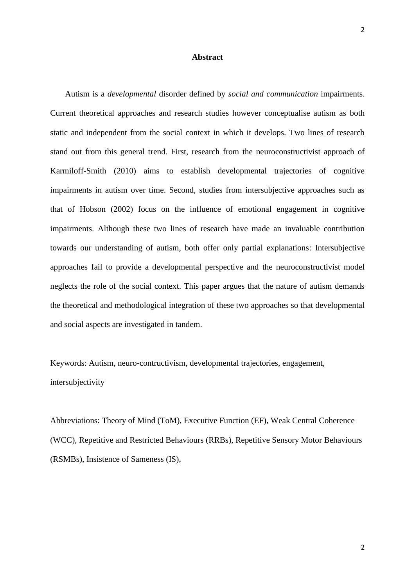# **Abstract**

Autism is a *developmental* disorder defined by *social and communication* impairments. Current theoretical approaches and research studies however conceptualise autism as both static and independent from the social context in which it develops. Two lines of research stand out from this general trend. First, research from the neuroconstructivist approach of Karmiloff-Smith (2010) aims to establish developmental trajectories of cognitive impairments in autism over time. Second, studies from intersubjective approaches such as that of Hobson (2002) focus on the influence of emotional engagement in cognitive impairments. Although these two lines of research have made an invaluable contribution towards our understanding of autism, both offer only partial explanations: Intersubjective approaches fail to provide a developmental perspective and the neuroconstructivist model neglects the role of the social context. This paper argues that the nature of autism demands the theoretical and methodological integration of these two approaches so that developmental and social aspects are investigated in tandem.

Keywords: Autism, neuro-contructivism, developmental trajectories, engagement, intersubjectivity

Abbreviations: Theory of Mind (ToM), Executive Function (EF), Weak Central Coherence (WCC), Repetitive and Restricted Behaviours (RRBs), Repetitive Sensory Motor Behaviours (RSMBs), Insistence of Sameness (IS),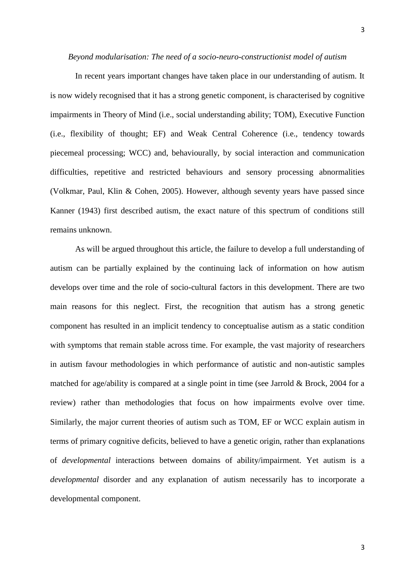In recent years important changes have taken place in our understanding of autism. It is now widely recognised that it has a strong genetic component, is characterised by cognitive impairments in Theory of Mind (i.e., social understanding ability; TOM), Executive Function (i.e., flexibility of thought; EF) and Weak Central Coherence (i.e., tendency towards piecemeal processing; WCC) and, behaviourally, by social interaction and communication difficulties, repetitive and restricted behaviours and sensory processing abnormalities (Volkmar, Paul, Klin & Cohen, 2005). However, although seventy years have passed since Kanner (1943) first described autism, the exact nature of this spectrum of conditions still remains unknown.

As will be argued throughout this article, the failure to develop a full understanding of autism can be partially explained by the continuing lack of information on how autism develops over time and the role of socio-cultural factors in this development. There are two main reasons for this neglect. First, the recognition that autism has a strong genetic component has resulted in an implicit tendency to conceptualise autism as a static condition with symptoms that remain stable across time. For example, the vast majority of researchers in autism favour methodologies in which performance of autistic and non-autistic samples matched for age/ability is compared at a single point in time (see Jarrold & Brock, 2004 for a review) rather than methodologies that focus on how impairments evolve over time. Similarly, the major current theories of autism such as TOM, EF or WCC explain autism in terms of primary cognitive deficits, believed to have a genetic origin, rather than explanations of *developmental* interactions between domains of ability/impairment. Yet autism is a *developmental* disorder and any explanation of autism necessarily has to incorporate a developmental component.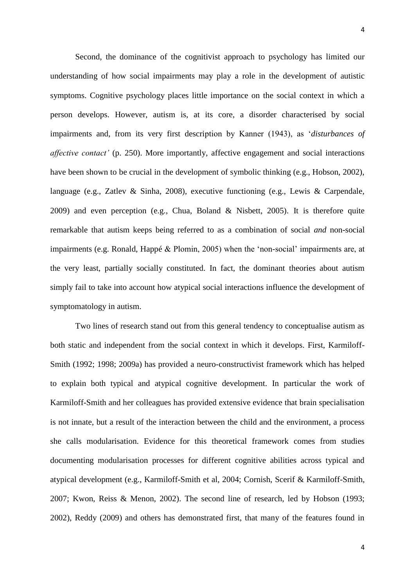Second, the dominance of the cognitivist approach to psychology has limited our understanding of how social impairments may play a role in the development of autistic symptoms. Cognitive psychology places little importance on the social context in which a person develops. However, autism is, at its core, a disorder characterised by social impairments and, from its very first description by Kanner (1943), as '*disturbances of affective contact'* (p. 250). More importantly, affective engagement and social interactions have been shown to be crucial in the development of symbolic thinking (e.g., Hobson, 2002), language (e.g., Zatlev & Sinha, 2008), executive functioning (e.g., Lewis & Carpendale, 2009) and even perception (e.g., Chua, Boland & Nisbett, 2005). It is therefore quite remarkable that autism keeps being referred to as a combination of social *and* non-social impairments (e.g. Ronald, Happé & Plomin, 2005) when the 'non-social' impairments are, at the very least, partially socially constituted. In fact, the dominant theories about autism simply fail to take into account how atypical social interactions influence the development of symptomatology in autism.

Two lines of research stand out from this general tendency to conceptualise autism as both static and independent from the social context in which it develops. First, Karmiloff-Smith (1992; 1998; 2009a) has provided a neuro-constructivist framework which has helped to explain both typical and atypical cognitive development. In particular the work of Karmiloff-Smith and her colleagues has provided extensive evidence that brain specialisation is not innate, but a result of the interaction between the child and the environment, a process she calls modularisation. Evidence for this theoretical framework comes from studies documenting modularisation processes for different cognitive abilities across typical and atypical development (e.g., Karmiloff-Smith et al, 2004; Cornish, Scerif & Karmiloff-Smith, 2007; Kwon, Reiss & Menon, 2002). The second line of research, led by Hobson (1993; 2002), Reddy (2009) and others has demonstrated first, that many of the features found in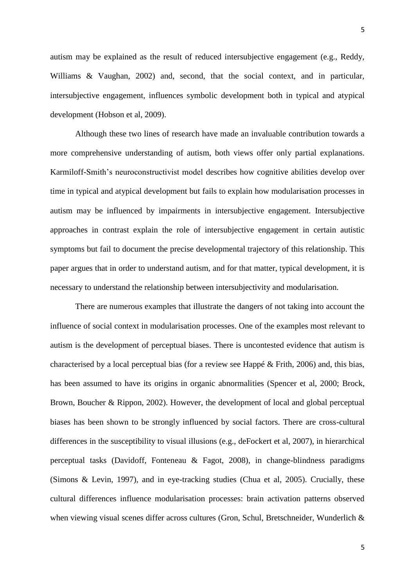autism may be explained as the result of reduced intersubjective engagement (e.g., Reddy, Williams & Vaughan, 2002) and, second, that the social context, and in particular, intersubjective engagement, influences symbolic development both in typical and atypical development (Hobson et al, 2009).

Although these two lines of research have made an invaluable contribution towards a more comprehensive understanding of autism, both views offer only partial explanations. Karmiloff-Smith's neuroconstructivist model describes how cognitive abilities develop over time in typical and atypical development but fails to explain how modularisation processes in autism may be influenced by impairments in intersubjective engagement. Intersubjective approaches in contrast explain the role of intersubjective engagement in certain autistic symptoms but fail to document the precise developmental trajectory of this relationship. This paper argues that in order to understand autism, and for that matter, typical development, it is necessary to understand the relationship between intersubjectivity and modularisation.

There are numerous examples that illustrate the dangers of not taking into account the influence of social context in modularisation processes. One of the examples most relevant to autism is the development of perceptual biases. There is uncontested evidence that autism is characterised by a local perceptual bias (for a review see Happé & Frith, 2006) and, this bias, has been assumed to have its origins in organic abnormalities (Spencer et al, 2000; Brock, Brown, Boucher & Rippon, 2002). However, the development of local and global perceptual biases has been shown to be strongly influenced by social factors. There are cross-cultural differences in the susceptibility to visual illusions (e.g., deFockert et al, 2007), in hierarchical perceptual tasks (Davidoff, Fonteneau & Fagot, 2008), in change-blindness paradigms (Simons & Levin, 1997), and in eye-tracking studies (Chua et al, 2005). Crucially, these cultural differences influence modularisation processes: brain activation patterns observed when viewing visual scenes differ across cultures (Gron, Schul, Bretschneider, Wunderlich &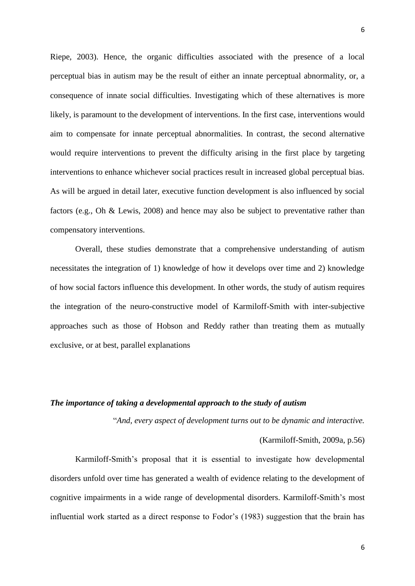Riepe, 2003). Hence, the organic difficulties associated with the presence of a local perceptual bias in autism may be the result of either an innate perceptual abnormality, or, a consequence of innate social difficulties. Investigating which of these alternatives is more likely, is paramount to the development of interventions. In the first case, interventions would aim to compensate for innate perceptual abnormalities. In contrast, the second alternative would require interventions to prevent the difficulty arising in the first place by targeting interventions to enhance whichever social practices result in increased global perceptual bias. As will be argued in detail later, executive function development is also influenced by social factors (e.g., Oh & Lewis, 2008) and hence may also be subject to preventative rather than compensatory interventions.

Overall, these studies demonstrate that a comprehensive understanding of autism necessitates the integration of 1) knowledge of how it develops over time and 2) knowledge of how social factors influence this development. In other words, the study of autism requires the integration of the neuro-constructive model of Karmiloff-Smith with inter-subjective approaches such as those of Hobson and Reddy rather than treating them as mutually exclusive, or at best, parallel explanations

# *The importance of taking a developmental approach to the study of autism*

"*And, every aspect of development turns out to be dynamic and interactive.*

```
(Karmiloff-Smith, 2009a, p.56)
```
Karmiloff-Smith's proposal that it is essential to investigate how developmental disorders unfold over time has generated a wealth of evidence relating to the development of cognitive impairments in a wide range of developmental disorders. Karmiloff-Smith's most influential work started as a direct response to Fodor's (1983) suggestion that the brain has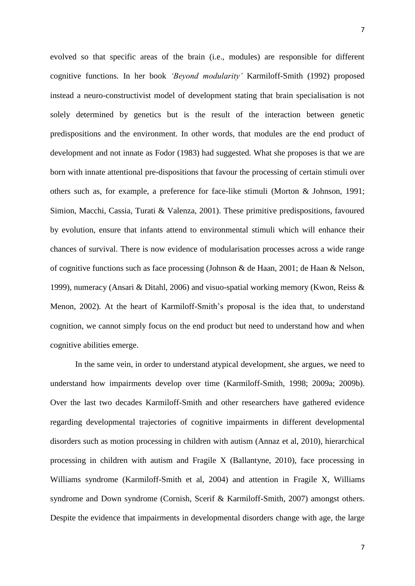7

evolved so that specific areas of the brain (i.e., modules) are responsible for different cognitive functions. In her book *'Beyond modularity'* Karmiloff-Smith (1992) proposed instead a neuro-constructivist model of development stating that brain specialisation is not solely determined by genetics but is the result of the interaction between genetic predispositions and the environment. In other words, that modules are the end product of development and not innate as Fodor (1983) had suggested. What she proposes is that we are born with innate attentional pre-dispositions that favour the processing of certain stimuli over others such as, for example, a preference for face-like stimuli (Morton & Johnson, 1991; Simion, Macchi, Cassia, Turati & Valenza, 2001). These primitive predispositions, favoured by evolution, ensure that infants attend to environmental stimuli which will enhance their chances of survival. There is now evidence of modularisation processes across a wide range of cognitive functions such as face processing (Johnson & de Haan, 2001; de Haan & Nelson, 1999), numeracy (Ansari & Ditahl, 2006) and visuo-spatial working memory (Kwon, Reiss & Menon, 2002). At the heart of Karmiloff-Smith's proposal is the idea that, to understand cognition, we cannot simply focus on the end product but need to understand how and when cognitive abilities emerge.

In the same vein, in order to understand atypical development, she argues, we need to understand how impairments develop over time (Karmiloff-Smith, 1998; 2009a; 2009b). Over the last two decades Karmiloff-Smith and other researchers have gathered evidence regarding developmental trajectories of cognitive impairments in different developmental disorders such as motion processing in children with autism (Annaz et al, 2010), hierarchical processing in children with autism and Fragile X (Ballantyne, 2010), face processing in Williams syndrome (Karmiloff-Smith et al, 2004) and attention in Fragile X, Williams syndrome and Down syndrome (Cornish, Scerif & Karmiloff-Smith, 2007) amongst others. Despite the evidence that impairments in developmental disorders change with age, the large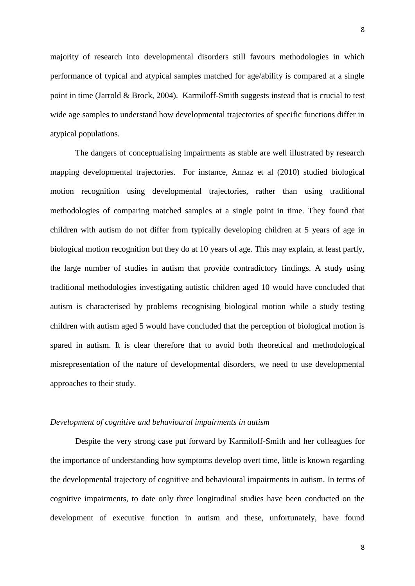majority of research into developmental disorders still favours methodologies in which performance of typical and atypical samples matched for age/ability is compared at a single point in time (Jarrold & Brock, 2004). Karmiloff-Smith suggests instead that is crucial to test wide age samples to understand how developmental trajectories of specific functions differ in

The dangers of conceptualising impairments as stable are well illustrated by research mapping developmental trajectories. For instance, Annaz et al (2010) studied biological motion recognition using developmental trajectories, rather than using traditional methodologies of comparing matched samples at a single point in time. They found that children with autism do not differ from typically developing children at 5 years of age in biological motion recognition but they do at 10 years of age. This may explain, at least partly, the large number of studies in autism that provide contradictory findings. A study using traditional methodologies investigating autistic children aged 10 would have concluded that autism is characterised by problems recognising biological motion while a study testing children with autism aged 5 would have concluded that the perception of biological motion is spared in autism. It is clear therefore that to avoid both theoretical and methodological misrepresentation of the nature of developmental disorders, we need to use developmental approaches to their study.

## *Development of cognitive and behavioural impairments in autism*

atypical populations.

Despite the very strong case put forward by Karmiloff-Smith and her colleagues for the importance of understanding how symptoms develop overt time, little is known regarding the developmental trajectory of cognitive and behavioural impairments in autism. In terms of cognitive impairments, to date only three longitudinal studies have been conducted on the development of executive function in autism and these, unfortunately, have found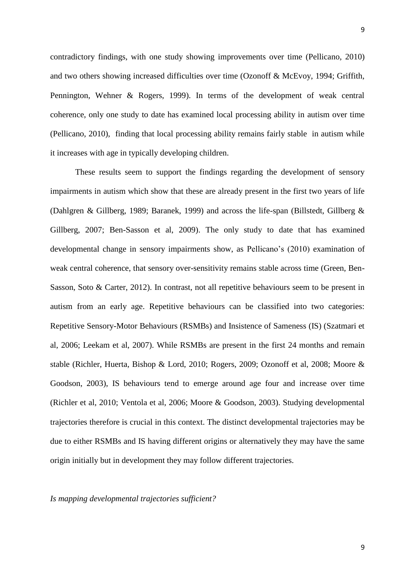contradictory findings, with one study showing improvements over time (Pellicano, 2010) and two others showing increased difficulties over time (Ozonoff & McEvoy, 1994; Griffith, Pennington, Wehner & Rogers, 1999). In terms of the development of weak central coherence, only one study to date has examined local processing ability in autism over time (Pellicano, 2010), finding that local processing ability remains fairly stable in autism while

These results seem to support the findings regarding the development of sensory impairments in autism which show that these are already present in the first two years of life (Dahlgren & Gillberg, 1989; Baranek, 1999) and across the life-span (Billstedt, Gillberg & Gillberg, 2007; Ben-Sasson et al, 2009). The only study to date that has examined developmental change in sensory impairments show, as Pellicano's (2010) examination of weak central coherence, that sensory over-sensitivity remains stable across time (Green, Ben-Sasson, Soto & Carter, 2012). In contrast, not all repetitive behaviours seem to be present in autism from an early age. Repetitive behaviours can be classified into two categories: Repetitive Sensory-Motor Behaviours (RSMBs) and Insistence of Sameness (IS) (Szatmari et al, 2006; Leekam et al, 2007). While RSMBs are present in the first 24 months and remain stable (Richler, Huerta, Bishop & Lord, 2010; Rogers, 2009; Ozonoff et al, 2008; Moore & Goodson, 2003), IS behaviours tend to emerge around age four and increase over time (Richler et al, 2010; Ventola et al, 2006; Moore & Goodson, 2003). Studying developmental trajectories therefore is crucial in this context. The distinct developmental trajectories may be due to either RSMBs and IS having different origins or alternatively they may have the same origin initially but in development they may follow different trajectories.

## *Is mapping developmental trajectories sufficient?*

it increases with age in typically developing children.

9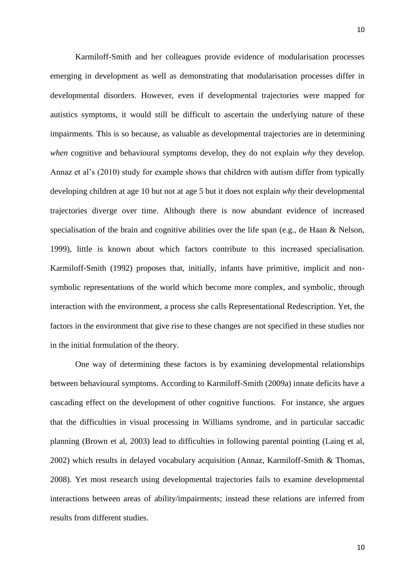Karmiloff-Smith and her colleagues provide evidence of modularisation processes emerging in development as well as demonstrating that modularisation processes differ in developmental disorders. However, even if developmental trajectories were mapped for autistics symptoms, it would still be difficult to ascertain the underlying nature of these impairments. This is so because, as valuable as developmental trajectories are in determining *when* cognitive and behavioural symptoms develop, they do not explain *why* they develop. Annaz et al's (2010) study for example shows that children with autism differ from typically developing children at age 10 but not at age 5 but it does not explain *why* their developmental trajectories diverge over time. Although there is now abundant evidence of increased specialisation of the brain and cognitive abilities over the life span (e.g., de Haan & Nelson, 1999), little is known about which factors contribute to this increased specialisation. Karmiloff-Smith (1992) proposes that, initially, infants have primitive, implicit and nonsymbolic representations of the world which become more complex, and symbolic, through interaction with the environment, a process she calls Representational Redescription. Yet, the factors in the environment that give rise to these changes are not specified in these studies nor in the initial formulation of the theory.

One way of determining these factors is by examining developmental relationships between behavioural symptoms. According to Karmiloff-Smith (2009a) innate deficits have a cascading effect on the development of other cognitive functions. For instance, she argues that the difficulties in visual processing in Williams syndrome, and in particular saccadic planning (Brown et al, 2003) lead to difficulties in following parental pointing (Laing et al, 2002) which results in delayed vocabulary acquisition (Annaz, Karmiloff-Smith & Thomas, 2008). Yet most research using developmental trajectories fails to examine developmental interactions between areas of ability/impairments; instead these relations are inferred from results from different studies.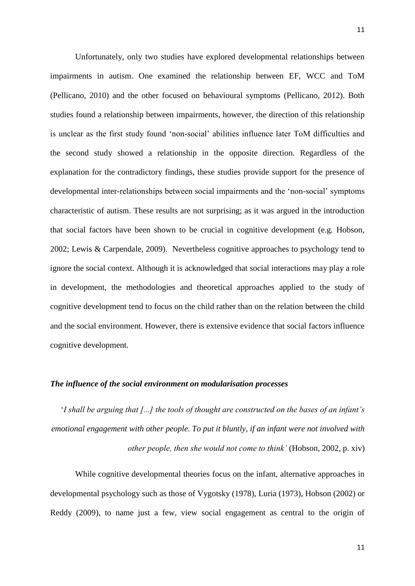Unfortunately, only two studies have explored developmental relationships between impairments in autism. One examined the relationship between EF, WCC and ToM (Pellicano, 2010) and the other focused on behavioural symptoms (Pellicano, 2012). Both studies found a relationship between impairments, however, the direction of this relationship is unclear as the first study found 'non-social' abilities influence later ToM difficulties and the second study showed a relationship in the opposite direction. Regardless of the explanation for the contradictory findings, these studies provide support for the presence of developmental inter-relationships between social impairments and the 'non-social' symptoms characteristic of autism. These results are not surprising; as it was argued in the introduction that social factors have been shown to be crucial in cognitive development (e.g. Hobson, 2002; Lewis & Carpendale, 2009). Nevertheless cognitive approaches to psychology tend to ignore the social context. Although it is acknowledged that social interactions may play a role in development, the methodologies and theoretical approaches applied to the study of cognitive development tend to focus on the child rather than on the relation between the child and the social environment. However, there is extensive evidence that social factors influence cognitive development.

#### *The influence of the social environment on modularisation processes*

'*I shall be arguing that [...] the tools of thought are constructed on the bases of an infant's emotional engagement with other people. To put it bluntly, if an infant were not involved with other people, then she would not come to think'* (Hobson, 2002, p. xiv)

While cognitive developmental theories focus on the infant, alternative approaches in developmental psychology such as those of Vygotsky (1978), Luria (1973), Hobson (2002) or Reddy (2009), to name just a few, view social engagement as central to the origin of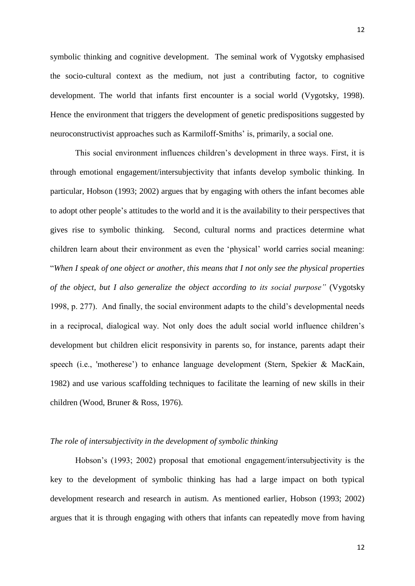symbolic thinking and cognitive development. The seminal work of Vygotsky emphasised the socio-cultural context as the medium, not just a contributing factor, to cognitive development. The world that infants first encounter is a social world (Vygotsky, 1998). Hence the environment that triggers the development of genetic predispositions suggested by neuroconstructivist approaches such as Karmiloff-Smiths' is, primarily, a social one.

This social environment influences children's development in three ways. First, it is through emotional engagement/intersubjectivity that infants develop symbolic thinking. In particular, Hobson (1993; 2002) argues that by engaging with others the infant becomes able to adopt other people's attitudes to the world and it is the availability to their perspectives that gives rise to symbolic thinking. Second, cultural norms and practices determine what children learn about their environment as even the 'physical' world carries social meaning: "*When I speak of one object or another, this means that I not only see the physical properties of the object, but I also generalize the object according to its social purpose"* (Vygotsky 1998, p. 277). And finally, the social environment adapts to the child's developmental needs in a reciprocal, dialogical way. Not only does the adult social world influence children's development but children elicit responsivity in parents so, for instance, parents adapt their speech (i.e., 'motherese') to enhance language development (Stern, Spekier & MacKain, 1982) and use various scaffolding techniques to facilitate the learning of new skills in their children (Wood, Bruner & Ross, 1976).

### *The role of intersubjectivity in the development of symbolic thinking*

Hobson's (1993; 2002) proposal that emotional engagement/intersubjectivity is the key to the development of symbolic thinking has had a large impact on both typical development research and research in autism. As mentioned earlier, Hobson (1993; 2002) argues that it is through engaging with others that infants can repeatedly move from having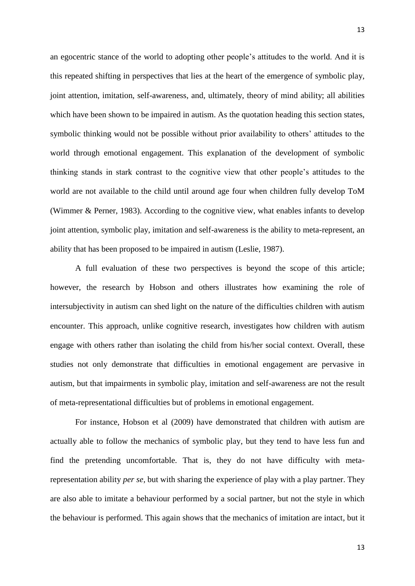an egocentric stance of the world to adopting other people's attitudes to the world. And it is this repeated shifting in perspectives that lies at the heart of the emergence of symbolic play, joint attention, imitation, self-awareness, and, ultimately, theory of mind ability; all abilities which have been shown to be impaired in autism. As the quotation heading this section states, symbolic thinking would not be possible without prior availability to others' attitudes to the world through emotional engagement. This explanation of the development of symbolic thinking stands in stark contrast to the cognitive view that other people's attitudes to the world are not available to the child until around age four when children fully develop ToM (Wimmer & Perner, 1983). According to the cognitive view, what enables infants to develop joint attention, symbolic play, imitation and self-awareness is the ability to meta-represent, an ability that has been proposed to be impaired in autism (Leslie, 1987).

A full evaluation of these two perspectives is beyond the scope of this article; however, the research by Hobson and others illustrates how examining the role of intersubjectivity in autism can shed light on the nature of the difficulties children with autism encounter. This approach, unlike cognitive research, investigates how children with autism engage with others rather than isolating the child from his/her social context. Overall, these studies not only demonstrate that difficulties in emotional engagement are pervasive in autism, but that impairments in symbolic play, imitation and self-awareness are not the result of meta-representational difficulties but of problems in emotional engagement.

For instance, Hobson et al (2009) have demonstrated that children with autism are actually able to follow the mechanics of symbolic play, but they tend to have less fun and find the pretending uncomfortable. That is, they do not have difficulty with metarepresentation ability *per se,* but with sharing the experience of play with a play partner. They are also able to imitate a behaviour performed by a social partner, but not the style in which the behaviour is performed. This again shows that the mechanics of imitation are intact, but it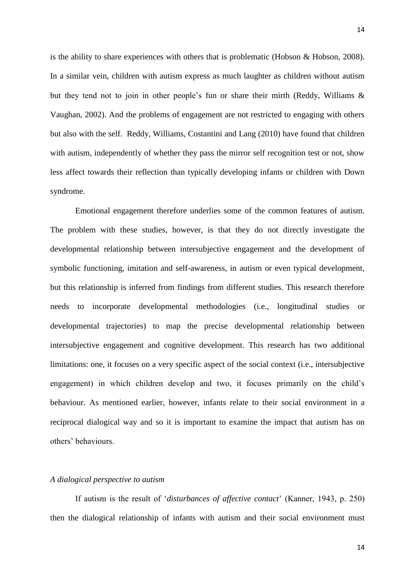is the ability to share experiences with others that is problematic (Hobson & Hobson, 2008). In a similar vein, children with autism express as much laughter as children without autism but they tend not to join in other people's fun or share their mirth (Reddy, Williams & Vaughan, 2002). And the problems of engagement are not restricted to engaging with others but also with the self. Reddy, Williams, Costantini and Lang (2010) have found that children with autism, independently of whether they pass the mirror self recognition test or not, show less affect towards their reflection than typically developing infants or children with Down syndrome.

Emotional engagement therefore underlies some of the common features of autism. The problem with these studies, however, is that they do not directly investigate the developmental relationship between intersubjective engagement and the development of symbolic functioning, imitation and self-awareness, in autism or even typical development, but this relationship is inferred from findings from different studies. This research therefore needs to incorporate developmental methodologies (i.e., longitudinal studies or developmental trajectories) to map the precise developmental relationship between intersubjective engagement and cognitive development. This research has two additional limitations: one, it focuses on a very specific aspect of the social context (i.e., intersubjective engagement) in which children develop and two, it focuses primarily on the child's behaviour. As mentioned earlier, however, infants relate to their social environment in a reciprocal dialogical way and so it is important to examine the impact that autism has on others' behaviours.

# *A dialogical perspective to autism*

If autism is the result of '*disturbances of affective contact*' (Kanner, 1943, p. 250) then the dialogical relationship of infants with autism and their social environment must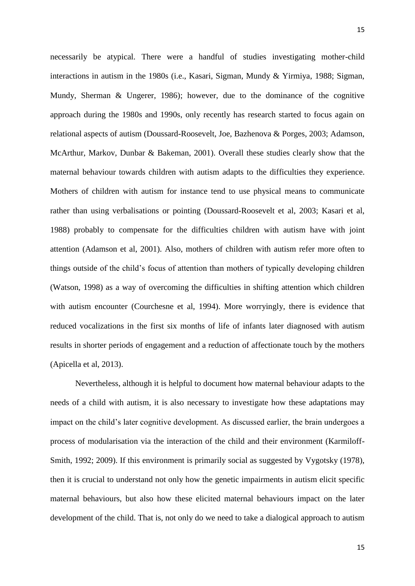15

necessarily be atypical. There were a handful of studies investigating mother-child interactions in autism in the 1980s (i.e., Kasari, Sigman, Mundy & Yirmiya, 1988; Sigman, Mundy, Sherman & Ungerer, 1986); however, due to the dominance of the cognitive approach during the 1980s and 1990s, only recently has research started to focus again on relational aspects of autism (Doussard-Roosevelt, Joe, Bazhenova & Porges, 2003; Adamson, McArthur, Markov, Dunbar & Bakeman, 2001). Overall these studies clearly show that the maternal behaviour towards children with autism adapts to the difficulties they experience. Mothers of children with autism for instance tend to use physical means to communicate rather than using verbalisations or pointing (Doussard-Roosevelt et al, 2003; Kasari et al, 1988) probably to compensate for the difficulties children with autism have with joint attention (Adamson et al, 2001). Also, mothers of children with autism refer more often to things outside of the child's focus of attention than mothers of typically developing children (Watson, 1998) as a way of overcoming the difficulties in shifting attention which children with autism encounter (Courchesne et al, 1994). More worryingly, there is evidence that reduced vocalizations in the first six months of life of infants later diagnosed with autism results in shorter periods of engagement and a reduction of affectionate touch by the mothers (Apicella et al, 2013).

Nevertheless, although it is helpful to document how maternal behaviour adapts to the needs of a child with autism, it is also necessary to investigate how these adaptations may impact on the child's later cognitive development. As discussed earlier, the brain undergoes a process of modularisation via the interaction of the child and their environment (Karmiloff-Smith, 1992; 2009). If this environment is primarily social as suggested by Vygotsky (1978), then it is crucial to understand not only how the genetic impairments in autism elicit specific maternal behaviours, but also how these elicited maternal behaviours impact on the later development of the child. That is, not only do we need to take a dialogical approach to autism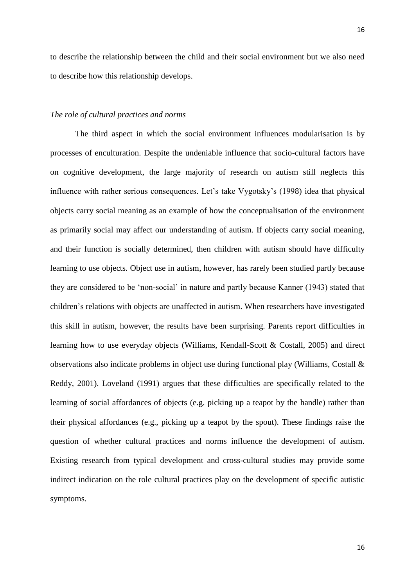to describe the relationship between the child and their social environment but we also need to describe how this relationship develops.

#### *The role of cultural practices and norms*

The third aspect in which the social environment influences modularisation is by processes of enculturation. Despite the undeniable influence that socio-cultural factors have on cognitive development, the large majority of research on autism still neglects this influence with rather serious consequences. Let's take Vygotsky's (1998) idea that physical objects carry social meaning as an example of how the conceptualisation of the environment as primarily social may affect our understanding of autism. If objects carry social meaning, and their function is socially determined, then children with autism should have difficulty learning to use objects. Object use in autism, however, has rarely been studied partly because they are considered to be 'non-social' in nature and partly because Kanner (1943) stated that children's relations with objects are unaffected in autism. When researchers have investigated this skill in autism, however, the results have been surprising. Parents report difficulties in learning how to use everyday objects (Williams, Kendall-Scott & Costall, 2005) and direct observations also indicate problems in object use during functional play (Williams, Costall & Reddy, 2001). Loveland (1991) argues that these difficulties are specifically related to the learning of social affordances of objects (e.g. picking up a teapot by the handle) rather than their physical affordances (e.g., picking up a teapot by the spout). These findings raise the question of whether cultural practices and norms influence the development of autism. Existing research from typical development and cross-cultural studies may provide some indirect indication on the role cultural practices play on the development of specific autistic symptoms.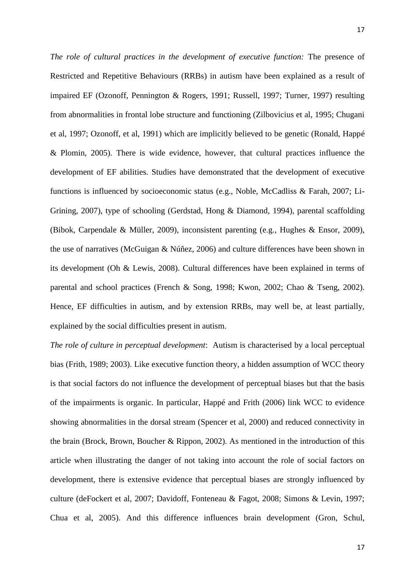*The role of cultural practices in the development of executive function:* The presence of Restricted and Repetitive Behaviours (RRBs) in autism have been explained as a result of impaired EF (Ozonoff, Pennington & Rogers, 1991; Russell, 1997; Turner, 1997) resulting from abnormalities in frontal lobe structure and functioning (Zilbovicius et al, 1995; Chugani et al, 1997; Ozonoff, et al, 1991) which are implicitly believed to be genetic (Ronald, Happé & Plomin, 2005). There is wide evidence, however, that cultural practices influence the development of EF abilities. Studies have demonstrated that the development of executive functions is influenced by socioeconomic status (e.g., Noble, McCadliss & Farah, 2007; Li-Grining, 2007), type of schooling (Gerdstad, Hong & Diamond, 1994), parental scaffolding (Bibok, Carpendale & Müller, 2009), inconsistent parenting (e.g., Hughes & Ensor, 2009), the use of narratives (McGuigan & Núñez, 2006) and culture differences have been shown in its development (Oh & Lewis, 2008). Cultural differences have been explained in terms of parental and school practices (French & Song, 1998; Kwon, 2002; Chao & Tseng, 2002). Hence, EF difficulties in autism, and by extension RRBs, may well be, at least partially, explained by the social difficulties present in autism.

*The role of culture in perceptual development*: Autism is characterised by a local perceptual bias (Frith, 1989; 2003). Like executive function theory, a hidden assumption of WCC theory is that social factors do not influence the development of perceptual biases but that the basis of the impairments is organic. In particular, Happé and Frith (2006) link WCC to evidence showing abnormalities in the dorsal stream (Spencer et al, 2000) and reduced connectivity in the brain (Brock, Brown, Boucher & Rippon, 2002). As mentioned in the introduction of this article when illustrating the danger of not taking into account the role of social factors on development, there is extensive evidence that perceptual biases are strongly influenced by culture (deFockert et al, 2007; Davidoff, Fonteneau & Fagot, 2008; Simons & Levin, 1997; Chua et al, 2005). And this difference influences brain development (Gron, Schul,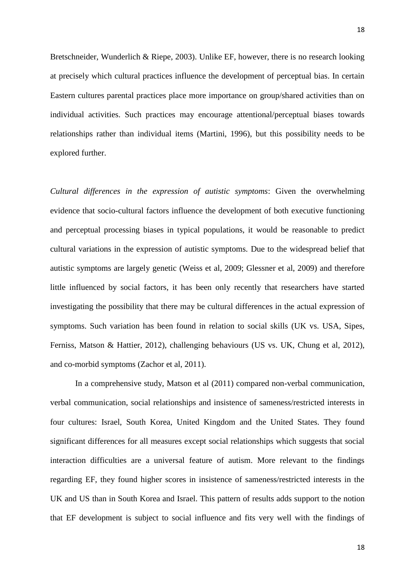Bretschneider, Wunderlich & Riepe, 2003). Unlike EF, however, there is no research looking at precisely which cultural practices influence the development of perceptual bias. In certain Eastern cultures parental practices place more importance on group/shared activities than on individual activities. Such practices may encourage attentional/perceptual biases towards relationships rather than individual items (Martini, 1996), but this possibility needs to be explored further.

*Cultural differences in the expression of autistic symptoms*: Given the overwhelming evidence that socio-cultural factors influence the development of both executive functioning and perceptual processing biases in typical populations, it would be reasonable to predict cultural variations in the expression of autistic symptoms. Due to the widespread belief that autistic symptoms are largely genetic (Weiss et al, 2009; Glessner et al, 2009) and therefore little influenced by social factors, it has been only recently that researchers have started investigating the possibility that there may be cultural differences in the actual expression of symptoms. Such variation has been found in relation to social skills (UK vs. USA, Sipes, Ferniss, Matson & Hattier, 2012), challenging behaviours (US vs. UK, Chung et al, 2012), and co-morbid symptoms (Zachor et al, 2011).

In a comprehensive study, Matson et al (2011) compared non-verbal communication, verbal communication, social relationships and insistence of sameness/restricted interests in four cultures: Israel, South Korea, United Kingdom and the United States. They found significant differences for all measures except social relationships which suggests that social interaction difficulties are a universal feature of autism. More relevant to the findings regarding EF, they found higher scores in insistence of sameness/restricted interests in the UK and US than in South Korea and Israel. This pattern of results adds support to the notion that EF development is subject to social influence and fits very well with the findings of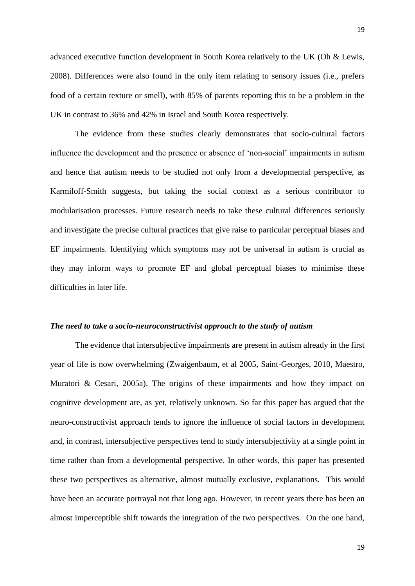advanced executive function development in South Korea relatively to the UK (Oh & Lewis, 2008). Differences were also found in the only item relating to sensory issues (i.e., prefers food of a certain texture or smell), with 85% of parents reporting this to be a problem in the UK in contrast to 36% and 42% in Israel and South Korea respectively.

The evidence from these studies clearly demonstrates that socio-cultural factors influence the development and the presence or absence of 'non-social' impairments in autism and hence that autism needs to be studied not only from a developmental perspective, as Karmiloff-Smith suggests, but taking the social context as a serious contributor to modularisation processes. Future research needs to take these cultural differences seriously and investigate the precise cultural practices that give raise to particular perceptual biases and EF impairments. Identifying which symptoms may not be universal in autism is crucial as they may inform ways to promote EF and global perceptual biases to minimise these difficulties in later life.

#### *The need to take a socio-neuroconstructivist approach to the study of autism*

The evidence that intersubjective impairments are present in autism already in the first year of life is now overwhelming (Zwaigenbaum, et al 2005, Saint-Georges, 2010, Maestro, Muratori & Cesari, 2005a). The origins of these impairments and how they impact on cognitive development are, as yet, relatively unknown. So far this paper has argued that the neuro-constructivist approach tends to ignore the influence of social factors in development and, in contrast, intersubjective perspectives tend to study intersubjectivity at a single point in time rather than from a developmental perspective. In other words, this paper has presented these two perspectives as alternative, almost mutually exclusive, explanations. This would have been an accurate portrayal not that long ago. However, in recent years there has been an almost imperceptible shift towards the integration of the two perspectives. On the one hand,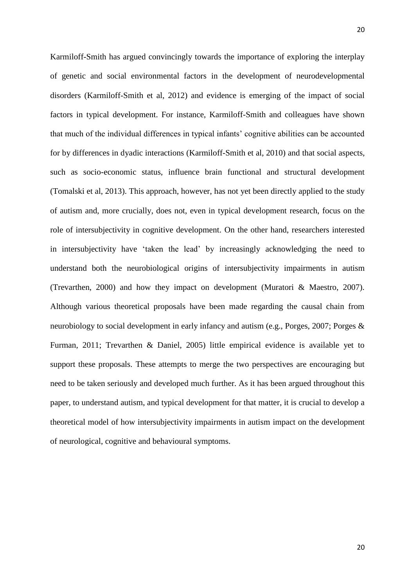Karmiloff-Smith has argued convincingly towards the importance of exploring the interplay of genetic and social environmental factors in the development of neurodevelopmental disorders (Karmiloff-Smith et al, 2012) and evidence is emerging of the impact of social factors in typical development. For instance, Karmiloff-Smith and colleagues have shown that much of the individual differences in typical infants' cognitive abilities can be accounted for by differences in dyadic interactions (Karmiloff-Smith et al, 2010) and that social aspects, such as socio-economic status, influence brain functional and structural development (Tomalski et al, 2013). This approach, however, has not yet been directly applied to the study of autism and, more crucially, does not, even in typical development research, focus on the role of intersubjectivity in cognitive development. On the other hand, researchers interested in intersubjectivity have 'taken the lead' by increasingly acknowledging the need to understand both the neurobiological origins of intersubjectivity impairments in autism (Trevarthen, 2000) and how they impact on development (Muratori & Maestro, 2007). Although various theoretical proposals have been made regarding the causal chain from neurobiology to social development in early infancy and autism (e.g., Porges, 2007; Porges & Furman, 2011; Trevarthen & Daniel, 2005) little empirical evidence is available yet to support these proposals. These attempts to merge the two perspectives are encouraging but need to be taken seriously and developed much further. As it has been argued throughout this paper, to understand autism, and typical development for that matter, it is crucial to develop a theoretical model of how intersubjectivity impairments in autism impact on the development of neurological, cognitive and behavioural symptoms.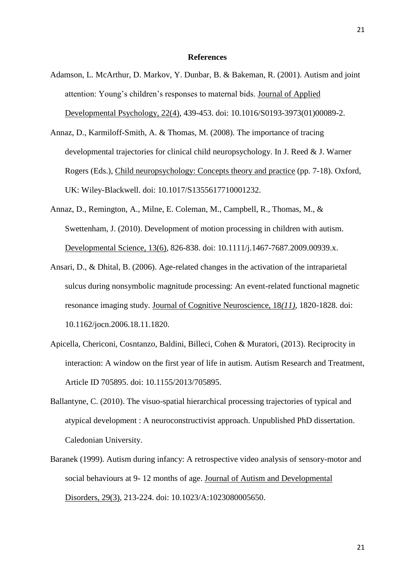#### **References**

- Adamson, L. McArthur, D. Markov, Y. Dunbar, B. & Bakeman, R. (2001). Autism and joint attention: Young's children's responses to maternal bids. Journal of Applied Developmental Psychology, 22(4), 439-453. doi: 10.1016/S0193-3973(01)00089-2.
- Annaz, D., Karmiloff-Smith, A. & Thomas, M. (2008). The importance of tracing developmental trajectories for clinical child neuropsychology. In J. Reed & J. Warner Rogers (Eds.), Child neuropsychology: Concepts theory and practice (pp. 7-18). Oxford, UK: Wiley-Blackwell. doi: 10.1017/S1355617710001232.
- Annaz, D., Remington, A., Milne, E. Coleman, M., Campbell, R., Thomas, M., & Swettenham, J. (2010). Development of motion processing in children with autism. Developmental Science, 13(6), 826-838. doi: 10.1111/j.1467-7687.2009.00939.x.
- Ansari, D., & Dhital, B. (2006). Age-related changes in the activation of the intraparietal sulcus during nonsymbolic magnitude processing: An event-related functional magnetic resonance imaging study. Journal of Cognitive Neuroscience, 18*(11)*, 1820-1828. doi: 10.1162/jocn.2006.18.11.1820.
- Apicella, Chericoni, Cosntanzo, Baldini, Billeci, Cohen & Muratori, (2013). Reciprocity in interaction: A window on the first year of life in autism. Autism Research and Treatment, Article ID 705895. doi: 10.1155/2013/705895.
- Ballantyne, C. (2010). The visuo-spatial hierarchical processing trajectories of typical and atypical development : A neuroconstructivist approach. Unpublished PhD dissertation. Caledonian University.
- Baranek (1999). Autism during infancy: A retrospective video analysis of sensory-motor and social behaviours at 9- 12 months of age. Journal of Autism and Developmental Disorders, 29(3), 213-224. doi: 10.1023/A:1023080005650.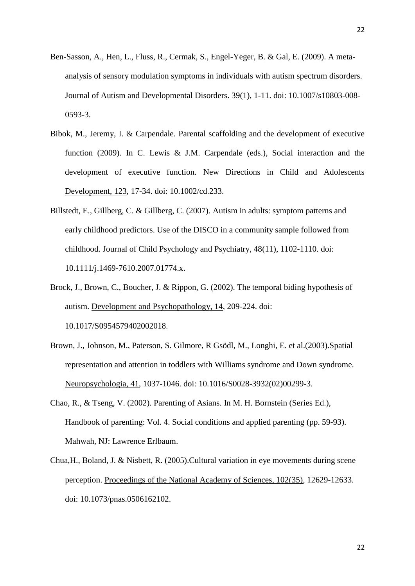- Ben-Sasson, A., Hen, L., Fluss, R., Cermak, S., Engel-Yeger, B. & Gal, E. (2009). A metaanalysis of sensory modulation symptoms in individuals with autism spectrum disorders. Journal of Autism and Developmental Disorders. 39(1), 1-11. doi: 10.1007/s10803-008- 0593-3.
- Bibok, M., Jeremy, I. & Carpendale. Parental scaffolding and the development of executive function (2009). In C. Lewis & J.M. Carpendale (eds.), Social interaction and the development of executive function. New Directions in Child and Adolescents Development, 123, 17-34. doi: 10.1002/cd.233.
- Billstedt, E., Gillberg, C. & Gillberg, C. (2007). Autism in adults: symptom patterns and early childhood predictors. Use of the DISCO in a community sample followed from childhood. Journal of Child Psychology and Psychiatry, 48(11), 1102-1110. doi: 10.1111/j.1469-7610.2007.01774.x.
- Brock, J., Brown, C., Boucher, J. & Rippon, G. (2002). The temporal biding hypothesis of autism. Development and Psychopathology, 14, 209-224. doi: [10.1017/S0954579402002018](http://dx.doi.org/10.1017/S0954579402002018).
- Brown, J., Johnson, M., Paterson, S. Gilmore, R Gsödl, M., Longhi, E. et al.(2003).Spatial representation and attention in toddlers with Williams syndrome and Down syndrome. Neuropsychologia, 41, 1037-1046. doi: [10.1016/S0028-3932\(02\)00299-3.](http://dx.doi.org/10.1016/S0028-3932(02)00299-3)
- Chao, R., & Tseng, V. (2002). Parenting of Asians. In M. H. Bornstein (Series Ed.), Handbook of parenting: Vol. 4. Social conditions and applied parenting (pp. 59-93). Mahwah, NJ: Lawrence Erlbaum.
- Chua,H., Boland, J. & Nisbett, R. (2005).Cultural variation in eye movements during scene perception. Proceedings of the National Academy of Sciences, 102(35), 12629-12633. doi: 10.1073/pnas.0506162102.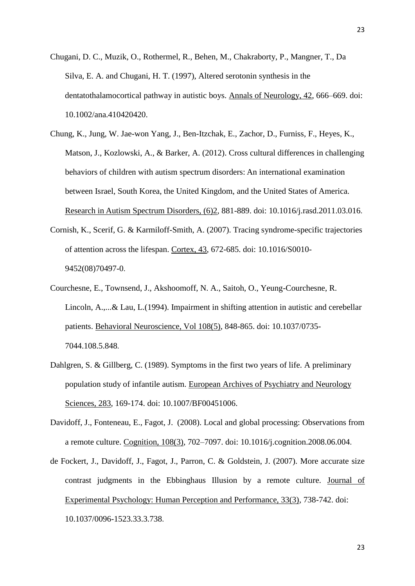- Chugani, D. C., Muzik, O., Rothermel, R., Behen, M., Chakraborty, P., Mangner, T., Da Silva, E. A. and Chugani, H. T. (1997), Altered serotonin synthesis in the dentatothalamocortical pathway in autistic boys. Annals of Neurology, 42, 666–669. doi: 10.1002/ana.410420420.
- Chung, K., Jung, W. Jae-won Yang, J., Ben-Itzchak, E., Zachor, D., Furniss, F., Heyes, K., Matson, J., Kozlowski, A., & Barker, A. (2012). Cross cultural differences in challenging behaviors of children with autism spectrum disorders: An international examination between Israel, South Korea, the United Kingdom, and the United States of America. Research in Autism Spectrum Disorders, (6)2, 881-889. doi: [10.1016/j.rasd.2011.03.016](http://dx.doi.org/10.1016/j.rasd.2011.03.016).
- Cornish, K., Scerif, G. & Karmiloff-Smith, A. (2007). Tracing syndrome-specific trajectories of attention across the lifespan. Cortex, 43, 672-685. doi: [10.1016/S0010-](http://dx.doi.org/10.1016/S0010-9452(08)70497-0) [9452\(08\)70497-0](http://dx.doi.org/10.1016/S0010-9452(08)70497-0).
- Courchesne, E., Townsend, J., Akshoomoff, N. A., Saitoh, O., Yeung-Courchesne, R. Lincoln, A.,...& Lau, L.(1994). Impairment in shifting attention in autistic and cerebellar patients. Behavioral Neuroscience, Vol 108(5), 848-865. doi: [10.1037/0735-](http://psycnet.apa.org/doi/10.1037/0735-7044.108.5.848) [7044.108.5.848](http://psycnet.apa.org/doi/10.1037/0735-7044.108.5.848).
- Dahlgren, S. & Gillberg, C. (1989). Symptoms in the first two years of life. A preliminary population study of infantile autism. European Archives of Psychiatry and Neurology Sciences, 283, 169-174. doi: 10.1007/BF00451006.
- Davidoff, J., Fonteneau, E., Fagot, J. (2008). Local and global processing: Observations from a remote culture. Cognition, 108(3), 702–7097. doi: [10.1016/j.cognition.2008.06.004](http://dx.doi.org/10.1016/j.cognition.2008.06.004).
- de Fockert, J., Davidoff, J., Fagot, J., Parron, C. & Goldstein, J. (2007). More accurate size contrast judgments in the Ebbinghaus Illusion by a remote culture. Journal of Experimental Psychology: Human Perception and Performance, 33(3), 738-742. doi: [10.1037/0096-1523.33.3.738](http://psycnet.apa.org/doi/10.1037/0096-1523.33.3.738).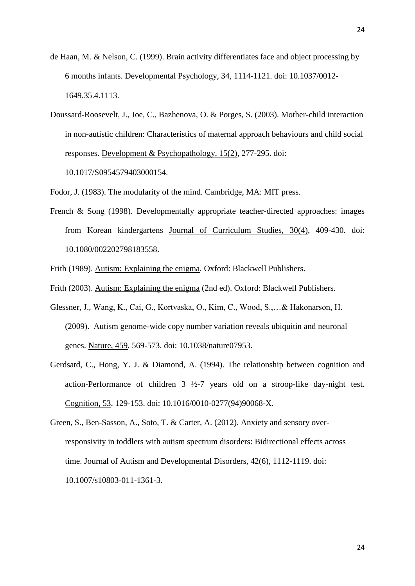- de Haan, M. & Nelson, C. (1999). Brain activity differentiates face and object processing by 6 months infants. Developmental Psychology, 34, 1114-1121. doi: [10.1037/0012-](http://psycnet.apa.org/doi/10.1037/0012-1649.35.4.1113) [1649.35.4.1113](http://psycnet.apa.org/doi/10.1037/0012-1649.35.4.1113).
- Doussard-Roosevelt, J., Joe, C., Bazhenova, O. & Porges, S. (2003). Mother-child interaction in non-autistic children: Characteristics of maternal approach behaviours and child social responses. Development & Psychopathology, 15(2), 277-295. doi:

[10.1017/S0954579403000154](http://dx.doi.org/10.1017/S0954579403000154).

Fodor, J. (1983). The modularity of the mind. Cambridge, MA: MIT press.

- French & Song (1998). Developmentally appropriate teacher-directed approaches: images from Korean kindergartens Journal of Curriculum Studies, 30(4), 409-430. doi: 10.1080/002202798183558.
- Frith (1989). Autism: Explaining the enigma. Oxford: Blackwell Publishers.
- Frith (2003). Autism: Explaining the enigma (2nd ed). Oxford: Blackwell Publishers.
- Glessner, J., Wang, K., Cai, G., Kortvaska, O., Kim, C., Wood, S.,…& Hakonarson, H. (2009). Autism genome-wide copy number variation reveals ubiquitin and neuronal genes. Nature, 459, 569-573. doi: 10.1038/nature07953.
- Gerdsatd, C., Hong, Y. J. & Diamond, A. (1994). The relationship between cognition and action-Performance of children 3 ½-7 years old on a stroop-like day-night test. Cognition, 53, 129-153. doi: [10.1016/0010-0277\(94\)90068-X](http://dx.doi.org/10.1016/0010-0277(94)90068-X).

Green, S., Ben-Sasson, A., Soto, T. & Carter, A. (2012). Anxiety and sensory overresponsivity in toddlers with autism spectrum disorders: Bidirectional effects across time. Journal of Autism and Developmental Disorders, 42(6), 1112-1119. doi: 10.1007/s10803-011-1361-3.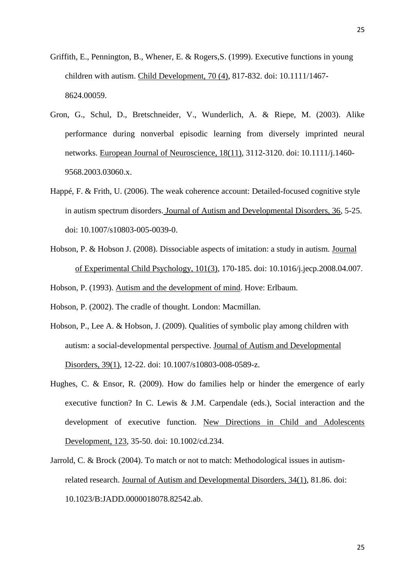- Griffith, E., Pennington, B., Whener, E. & Rogers,S. (1999). Executive functions in young children with autism. Child Development, 70 (4), 817-832. doi: 10.1111/1467- 8624.00059.
- Gron, G., Schul, D., Bretschneider, V., Wunderlich, A. & Riepe, M. (2003). Alike performance during nonverbal episodic learning from diversely imprinted neural networks. European Journal of Neuroscience, 18(11), 3112-3120. doi: 10.1111/j.1460- 9568.2003.03060.x.
- Happé, F. & Frith, U. (2006). The weak coherence account: Detailed-focused cognitive style in autism spectrum disorders. Journal of Autism and Developmental Disorders, 36, 5-25. doi: 10.1007/s10803-005-0039-0.
- Hobson, P. & Hobson J. (2008). Dissociable aspects of imitation: a study in autism. Journal of Experimental Child Psychology, 101(3), 170-185. doi: [10.1016/j.jecp.2008.04.007](http://dx.doi.org/10.1016/j.jecp.2008.04.007).

Hobson, P. (1993). Autism and the development of mind. Hove: Erlbaum.

Hobson, P. (2002). The cradle of thought. London: Macmillan.

- Hobson, P., Lee A. & Hobson, J. (2009). Qualities of symbolic play among children with autism: a social-developmental perspective. Journal of Autism and Developmental Disorders, 39(1), 12-22. doi: 10.1007/s10803-008-0589-z.
- Hughes, C. & Ensor, R. (2009). How do families help or hinder the emergence of early executive function? In C. Lewis & J.M. Carpendale (eds.), Social interaction and the development of executive function. New Directions in Child and Adolescents Development, 123, 35-50. doi: 10.1002/cd.234.
- Jarrold, C. & Brock (2004). To match or not to match: Methodological issues in autismrelated research. Journal of Autism and Developmental Disorders, 34(1), 81.86. doi: 10.1023/B:JADD.0000018078.82542.ab.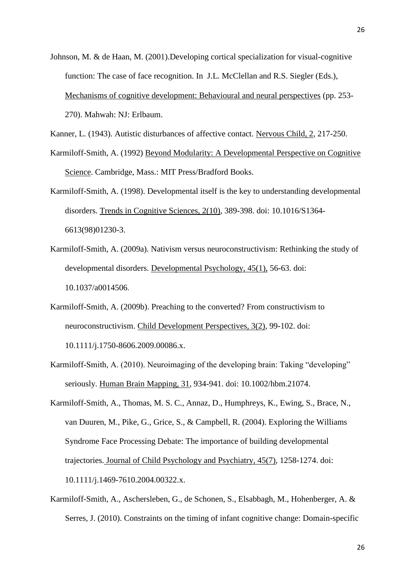Johnson, M. & de Haan, M. (2001).Developing cortical specialization for visual-cognitive function: The case of face recognition. In J.L. McClellan and R.S. Siegler (Eds.), Mechanisms of cognitive development: Behavioural and neural perspectives (pp. 253- 270). Mahwah: NJ: Erlbaum.

Kanner, L. (1943). Autistic disturbances of affective contact. Nervous Child, 2, 217-250.

- Karmiloff-Smith, A. (1992) Beyond Modularity: A Developmental Perspective on Cognitive Science. Cambridge, Mass.: MIT Press/Bradford Books.
- Karmiloff-Smith, A. (1998). Developmental itself is the key to understanding developmental disorders. Trends in Cognitive Sciences, 2(10), 389-398. doi: 10.1016/S1364- 6613(98)01230-3.
- Karmiloff-Smith, A. (2009a). Nativism versus neuroconstructivism: Rethinking the study of developmental disorders. Developmental Psychology, 45(1), 56-63. doi: [10.1037/a0014506](http://psycnet.apa.org/doi/10.1037/a0014506).
- Karmiloff-Smith, A. (2009b). Preaching to the converted? From constructivism to neuroconstructivism. Child Development Perspectives, 3(2), 99-102. doi: 10.1111/j.1750-8606.2009.00086.x.
- Karmiloff-Smith, A. (2010). Neuroimaging of the developing brain: Taking "developing" seriously. Human Brain Mapping, 31, 934-941. doi: 10.1002/hbm.21074.
- Karmiloff-Smith, A., Thomas, M. S. C., Annaz, D., Humphreys, K., Ewing, S., Brace, N., van Duuren, M., Pike, G., Grice, S., & Campbell, R. (2004). Exploring the Williams Syndrome Face Processing Debate: The importance of building developmental trajectories. Journal of Child Psychology and Psychiatry, 45(7), 1258-1274. doi: 10.1111/j.1469-7610.2004.00322.x.
- Karmiloff-Smith, A., Aschersleben, G., de Schonen, S., Elsabbagh, M., Hohenberger, A. & Serres, J. (2010). Constraints on the timing of infant cognitive change: Domain-specific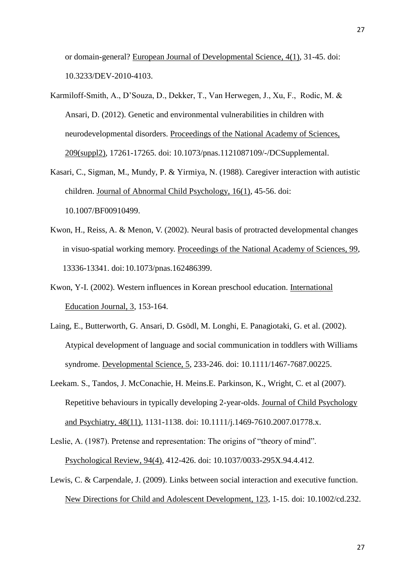or domain-general? European Journal of Developmental Science, 4(1), 31-45. doi: 10.3233/DEV-2010-4103.

- Karmiloff-Smith, A., D'Souza, D., Dekker, T., Van Herwegen, J., Xu, F., Rodic, M. & Ansari, D. (2012). Genetic and environmental vulnerabilities in children with neurodevelopmental disorders. Proceedings of the National Academy of Sciences, 209(suppl2), 17261-17265. doi: 10.1073/pnas.1121087109/-/DCSupplemental.
- Kasari, C., Sigman, M., Mundy, P. & Yirmiya, N. (1988). Caregiver interaction with autistic children. Journal of Abnormal Child Psychology, 16(1), 45-56. doi: 10.1007/BF00910499.
- Kwon, H., Reiss, A. & Menon, V. (2002). Neural basis of protracted developmental changes in visuo-spatial working memory. Proceedings of the National Academy of Sciences, 99, 13336-13341. doi:10.1073/pnas.162486399.
- Kwon, Y-I. (2002). Western influences in Korean preschool education. International Education Journal, 3, 153-164.
- Laing, E., Butterworth, G. Ansari, D. Gsödl, M. Longhi, E. Panagiotaki, G. et al. (2002). Atypical development of language and social communication in toddlers with Williams syndrome. Developmental Science, 5, 233-246. doi: 10.1111/1467-7687.00225.
- Leekam. S., Tandos, J. McConachie, H. Meins.E. Parkinson, K., Wright, C. et al (2007). Repetitive behaviours in typically developing 2-year-olds. Journal of Child Psychology and Psychiatry, 48(11), 1131-1138. doi: 10.1111/j.1469-7610.2007.01778.x.
- Leslie, A. (1987). Pretense and representation: The origins of "theory of mind". Psychological Review, 94(4), 412-426. doi: [10.1037/0033-295X.94.4.412](http://psycnet.apa.org/doi/10.1037/0033-295X.94.4.412).
- Lewis, C. & Carpendale, J. (2009). Links between social interaction and executive function. New Directions for Child and Adolescent Development, 123, 1-15. doi: 10.1002/cd.232.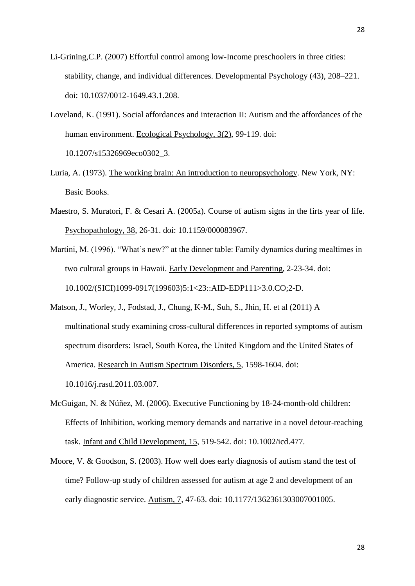- Li-Grining,C.P. (2007) Effortful control among low-Income preschoolers in three cities: stability, change, and individual differences. Developmental Psychology (43), 208–221. doi: [10.1037/0012-1649.43.1.208](http://psycnet.apa.org/doi/10.1037/0012-1649.43.1.208).
- Loveland, K. (1991). Social affordances and interaction II: Autism and the affordances of the human environment. Ecological Psychology, 3(2), 99-119. doi: [10.1207/s15326969eco0302\\_3](http://psycnet.apa.org/doi/10.1207/s15326969eco0302_3).
- Luria, A. (1973). The working brain: An introduction to neuropsychology. New York, NY: Basic Books.
- Maestro, S. Muratori, F. & Cesari A. (2005a). Course of autism signs in the firts year of life. Psychopathology, 38, 26-31. doi: 10.1159/000083967.
- Martini, M. (1996). "What's new?" at the dinner table: Family dynamics during mealtimes in two cultural groups in Hawaii. Early Development and Parenting, 2-23-34. doi: 10.1002/(SICI)1099-0917(199603)5:1<23::AID-EDP111>3.0.CO;2-D.
- Matson, J., Worley, J., Fodstad, J., Chung, K-M., Suh, S., Jhin, H. et al (2011) A multinational study examining cross-cultural differences in reported symptoms of autism spectrum disorders: Israel, South Korea, the United Kingdom and the United States of America. Research in Autism Spectrum Disorders, 5, 1598-1604. doi: [10.1016/j.rasd.2011.03.007](http://dx.doi.org/10.1016/j.rasd.2011.03.007).
- McGuigan, N. & Núñez, M. (2006). Executive Functioning by 18-24-month-old children: Effects of Inhibition, working memory demands and narrative in a novel detour-reaching task. Infant and Child Development, 15, 519-542. doi: 10.1002/icd.477.
- Moore, V. & Goodson, S. (2003). How well does early diagnosis of autism stand the test of time? Follow-up study of children assessed for autism at age 2 and development of an early diagnostic service. Autism, 7, 47-63. doi: 10.1177/1362361303007001005.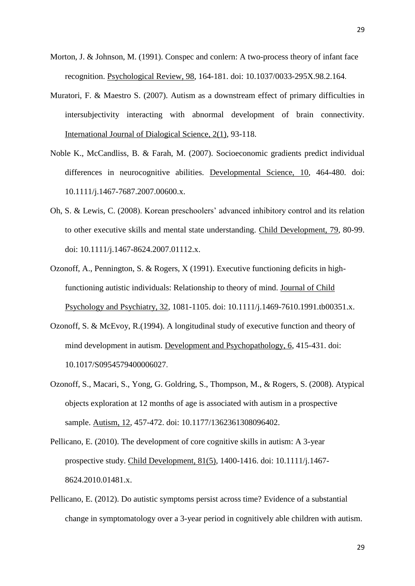- Morton, J. & Johnson, M. (1991). Conspec and conlern: A two-process theory of infant face recognition. Psychological Review, 98, 164-181. doi: [10.1037/0033-295X.98.2.164](http://psycnet.apa.org/doi/10.1037/0033-295X.98.2.164).
- Muratori, F. & Maestro S. (2007). Autism as a downstream effect of primary difficulties in intersubjectivity interacting with abnormal development of brain connectivity. International Journal of Dialogical Science, 2(1), 93-118.
- Noble K., McCandliss, B. & Farah, M. (2007). Socioeconomic gradients predict individual differences in neurocognitive abilities. Developmental Science, 10, 464-480. doi: 10.1111/j.1467-7687.2007.00600.x.
- Oh, S. & Lewis, C. (2008). Korean preschoolers' advanced inhibitory control and its relation to other executive skills and mental state understanding. Child Development, 79, 80-99. doi: 10.1111/j.1467-8624.2007.01112.x.
- Ozonoff, A., Pennington, S. & Rogers, X (1991). Executive functioning deficits in highfunctioning autistic individuals: Relationship to theory of mind. Journal of Child Psychology and Psychiatry, 32, 1081-1105. doi: 10.1111/j.1469-7610.1991.tb00351.x.
- Ozonoff, S. & McEvoy, R.(1994). A longitudinal study of executive function and theory of mind development in autism. Development and Psychopathology, 6, 415-431. doi: [10.1017/S0954579400006027](http://dx.doi.org/10.1017/S0954579400006027).
- Ozonoff, S., Macari, S., Yong, G. Goldring, S., Thompson, M., & Rogers, S. (2008). Atypical objects exploration at 12 months of age is associated with autism in a prospective sample. Autism, 12, 457-472. doi: 10.1177/1362361308096402.
- Pellicano, E. (2010). The development of core cognitive skills in autism: A 3-year prospective study. Child Development, 81(5), 1400-1416. doi: 10.1111/j.1467- 8624.2010.01481.x.
- Pellicano, E. (2012). Do autistic symptoms persist across time? Evidence of a substantial change in symptomatology over a 3-year period in cognitively able children with autism.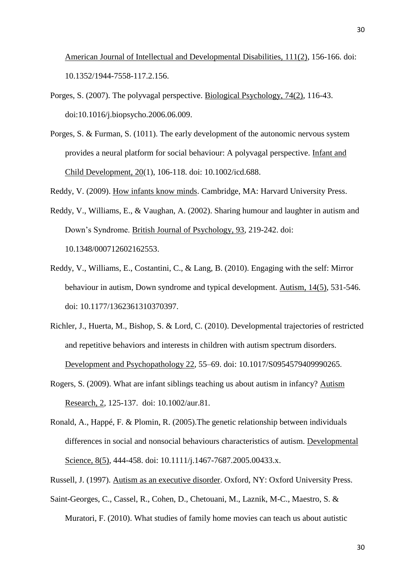American Journal of Intellectual and Developmental Disabilities, 111(2), 156-166. doi: 10.1352/1944-7558-117.2.156.

- Porges, S. (2007). The polyvagal perspective. Biological Psychology, 74(2), 116-43. doi:10.1016/j.biopsycho.2006.06.009.
- Porges, S. & Furman, S. (1011). The early development of the autonomic nervous system provides a neural platform for social behaviour: A polyvagal perspective. Infant and Child Development, 20(1), 106-118. doi: 10.1002/icd.688.

Reddy, V. (2009). How infants know minds. Cambridge, MA: Harvard University Press.

- Reddy, V., Williams, E., & Vaughan, A. (2002). Sharing humour and laughter in autism and Down's Syndrome. British Journal of Psychology, 93, 219-242. doi: 10.1348/000712602162553.
- Reddy, V., Williams, E., Costantini, C., & Lang, B. (2010). Engaging with the self: Mirror behaviour in autism, Down syndrome and typical development. Autism, 14(5), 531-546. doi: 10.1177/1362361310370397.
- Richler, J., Huerta, M., Bishop, S. & Lord, C. (2010). Developmental trajectories of restricted and repetitive behaviors and interests in children with autism spectrum disorders. Development and Psychopathology 22, 55–69. doi: [10.1017/S0954579409990265](http://dx.doi.org/10.1017/S0954579409990265).
- Rogers, S. (2009). What are infant siblings teaching us about autism in infancy? Autism Research, 2, 125-137. doi: 10.1002/aur.81.
- Ronald, A., Happé, F. & Plomin, R. (2005).The genetic relationship between individuals differences in social and nonsocial behaviours characteristics of autism. Developmental Science, 8(5), 444-458. doi: 10.1111/j.1467-7687.2005.00433.x.
- Russell, J. (1997). Autism as an executive disorder. Oxford, NY: Oxford University Press.
- Saint-Georges, C., Cassel, R., Cohen, D., Chetouani, M., Laznik, M-C., Maestro, S. & Muratori, F. (2010). What studies of family home movies can teach us about autistic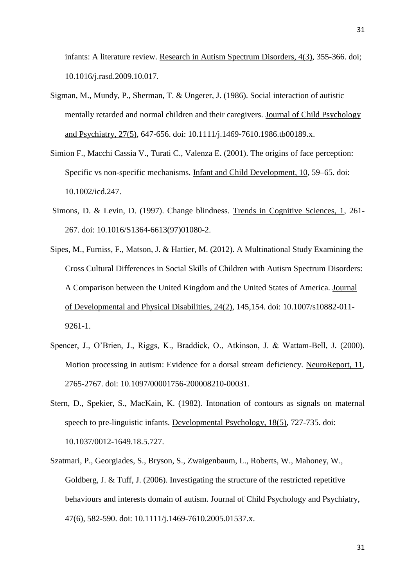infants: A literature review. Research in Autism Spectrum Disorders, 4(3), 355-366. doi; [10.1016/j.rasd.2009.10.017](http://dx.doi.org/10.1016/j.rasd.2009.10.017).

- Sigman, M., Mundy, P., Sherman, T. & Ungerer, J. (1986). Social interaction of autistic mentally retarded and normal children and their caregivers. Journal of Child Psychology and Psychiatry, 27(5), 647-656. doi: 10.1111/j.1469-7610.1986.tb00189.x.
- Simion F., Macchi Cassia V., Turati C., Valenza E. (2001). The origins of face perception: Specific vs non-specific mechanisms. Infant and Child Development, 10, 59–65. doi: 10.1002/icd.247.
- Simons, D. & Levin, D. (1997). Change blindness. Trends in Cognitive Sciences, 1, 261- 267. doi: 10.1016/S1364-6613(97)01080-2.
- Sipes, M., Furniss, F., Matson, J. & Hattier, M. (2012). A Multinational Study Examining the Cross Cultural Differences in Social Skills of Children with Autism Spectrum Disorders: A Comparison between the United Kingdom and the United States of America. Journal of Developmental and Physical Disabilities, 24(2), 145,154. doi: 10.1007/s10882-011- 9261-1.
- Spencer, J., O'Brien, J., Riggs, K., Braddick, O., Atkinson, J. & Wattam-Bell, J. (2000). Motion processing in autism: Evidence for a dorsal stream deficiency. NeuroReport, 11, 2765-2767. doi: [10.1097/00001756-200008210-00031](http://dx.doi.org/10.1097/00001756-200008210-00031).
- Stern, D., Spekier, S., MacKain, K. (1982). Intonation of contours as signals on maternal speech to pre-linguistic infants. Developmental Psychology, 18(5), 727-735. doi: 10.1037/0012-1649.18.5.727.
- Szatmari, P., Georgiades, S., Bryson, S., Zwaigenbaum, L., Roberts, W., Mahoney, W., Goldberg, J. & Tuff, J. (2006). Investigating the structure of the restricted repetitive behaviours and interests domain of autism. Journal of Child Psychology and Psychiatry, 47(6), 582-590. doi: 10.1111/j.1469-7610.2005.01537.x.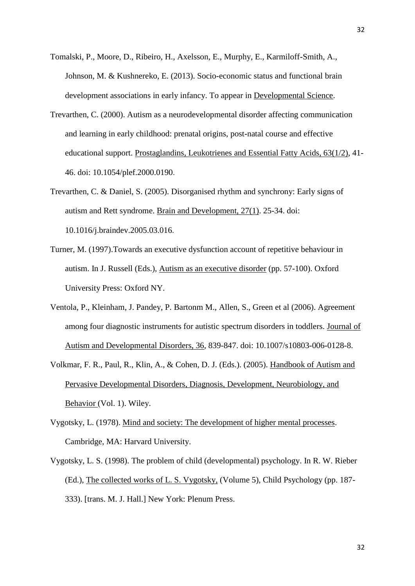- Tomalski, P., Moore, D., Ribeiro, H., Axelsson, E., Murphy, E., Karmiloff-Smith, A., Johnson, M. & Kushnereko, E. (2013). Socio-economic status and functional brain development associations in early infancy. To appear in Developmental Science.
- Trevarthen, C. (2000). Autism as a neurodevelopmental disorder affecting communication and learning in early childhood: prenatal origins, post-natal course and effective educational support. Prostaglandins, Leukotrienes and Essential Fatty Acids, 63(1/2), 41- 46. doi: [10.1054/plef.2000.0190](http://dx.doi.org/10.1054/plef.2000.0190).
- Trevarthen, C. & Daniel, S. (2005). Disorganised rhythm and synchrony: Early signs of autism and Rett syndrome. Brain and Development, 27(1). 25-34. doi: [10.1016/j.braindev.2005.03.016](http://dx.doi.org/10.1016/j.braindev.2005.03.016).
- Turner, M. (1997).Towards an executive dysfunction account of repetitive behaviour in autism. In J. Russell (Eds.), Autism as an executive disorder (pp. 57-100). Oxford University Press: Oxford NY.
- Ventola, P., Kleinham, J. Pandey, P. Bartonm M., Allen, S., Green et al (2006). Agreement among four diagnostic instruments for autistic spectrum disorders in toddlers. Journal of Autism and Developmental Disorders, 36, 839-847. doi: 10.1007/s10803-006-0128-8.
- Volkmar, F. R., Paul, R., Klin, A., & Cohen, D. J. (Eds.). (2005). Handbook of Autism and Pervasive Developmental Disorders, Diagnosis, Development, Neurobiology, and Behavior (Vol. 1). Wiley.
- Vygotsky, L. (1978). Mind and society: The development of higher mental processes. Cambridge, MA: Harvard University.
- Vygotsky, L. S. (1998). The problem of child (developmental) psychology. In R. W. Rieber (Ed.), The collected works of L. S. Vygotsky, (Volume 5), Child Psychology (pp. 187- 333). [trans. M. J. Hall.] New York: Plenum Press.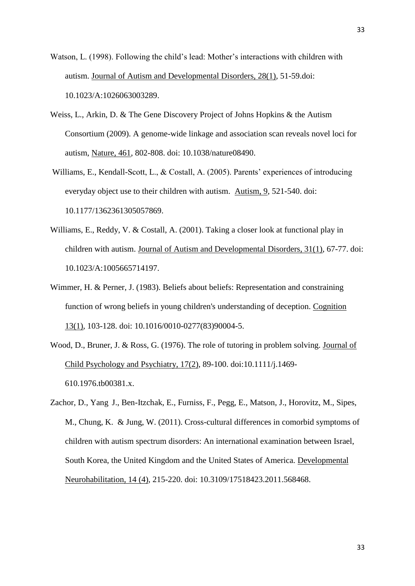Watson, L. (1998). Following the child's lead: Mother's interactions with children with autism. Journal of Autism and Developmental Disorders, 28(1), 51-59.doi: 10.1023/A:1026063003289.

- Weiss, L., Arkin, D. & The Gene Discovery Project of Johns Hopkins & the Autism Consortium (2009). A genome-wide linkage and association scan reveals novel loci for autism, Nature, 461, 802-808. doi: 10.1038/nature08490.
- Williams, E., Kendall-Scott, L., & Costall, A. (2005). Parents' experiences of introducing everyday object use to their children with autism. Autism, 9, 521-540. doi: 10.1177/1362361305057869.
- Williams, E., Reddy, V. & Costall, A. (2001). Taking a closer look at functional play in children with autism. Journal of Autism and Developmental Disorders, 31(1), 67-77. doi: 10.1023/A:1005665714197.
- Wimmer, H. & Perner, J. (1983). Beliefs about beliefs: Representation and constraining function of wrong beliefs in young children's understanding of deception. Cognition 13(1), 103-128. doi: 10.1016/0010-0277(83)90004-5.
- Wood, D., Bruner, J. & Ross, G. (1976). The role of tutoring in problem solving. Journal of Child Psychology and Psychiatry, 17(2), 89-100. doi:10.1111/j.1469- 610.1976.tb00381.x.
- Zachor, D., Yang J., Ben-Itzchak, E., Furniss, F., Pegg, E., Matson, J., Horovitz, M., Sipes, M., Chung, K. & Jung, W. (2011). Cross-cultural differences in comorbid symptoms of children with autism spectrum disorders: An international examination between Israel, South Korea, the United Kingdom and the United States of America. Developmental Neurohabilitation, 14 (4), 215-220. doi: 10.3109/17518423.2011.568468.